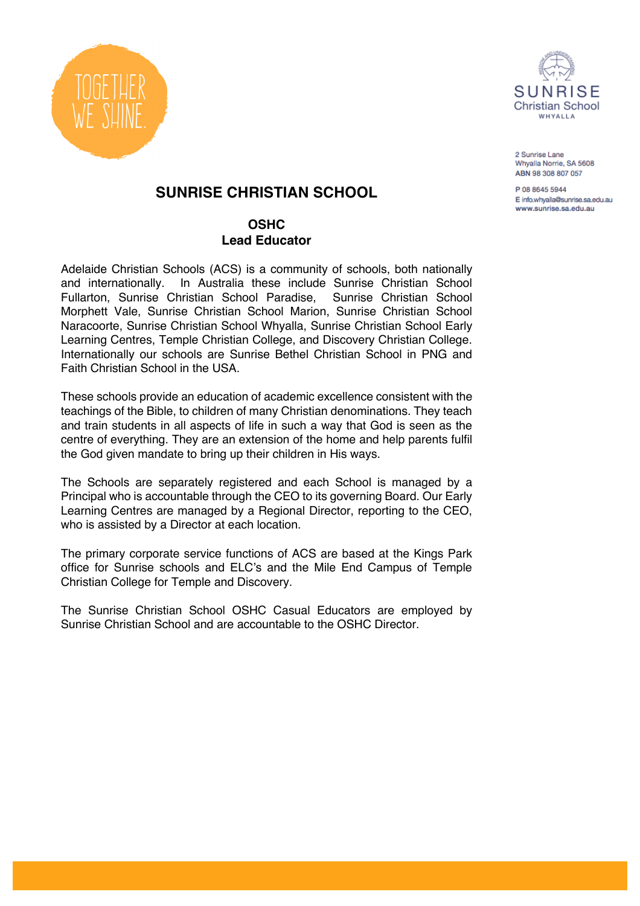



2 Sunrise Lane Whyalla Norrie, SA 5608 ABN 98 308 807 057

P 08 8645 5944 E info.whvalla@sunrise.sa.edu.au www.sunrise.sa.edu.au

# **SUNRISE CHRISTIAN SCHOOL**

## **OSHC Lead Educator**

Adelaide Christian Schools (ACS) is a community of schools, both nationally and internationally. In Australia these include Sunrise Christian School Fullarton, Sunrise Christian School Paradise, Sunrise Christian School Morphett Vale, Sunrise Christian School Marion, Sunrise Christian School Naracoorte, Sunrise Christian School Whyalla, Sunrise Christian School Early Learning Centres, Temple Christian College, and Discovery Christian College. Internationally our schools are Sunrise Bethel Christian School in PNG and Faith Christian School in the USA.

These schools provide an education of academic excellence consistent with the teachings of the Bible, to children of many Christian denominations. They teach and train students in all aspects of life in such a way that God is seen as the centre of everything. They are an extension of the home and help parents fulfil the God given mandate to bring up their children in His ways.

The Schools are separately registered and each School is managed by a Principal who is accountable through the CEO to its governing Board. Our Early Learning Centres are managed by a Regional Director, reporting to the CEO, who is assisted by a Director at each location.

The primary corporate service functions of ACS are based at the Kings Park office for Sunrise schools and ELC's and the Mile End Campus of Temple Christian College for Temple and Discovery.

The Sunrise Christian School OSHC Casual Educators are employed by Sunrise Christian School and are accountable to the OSHC Director.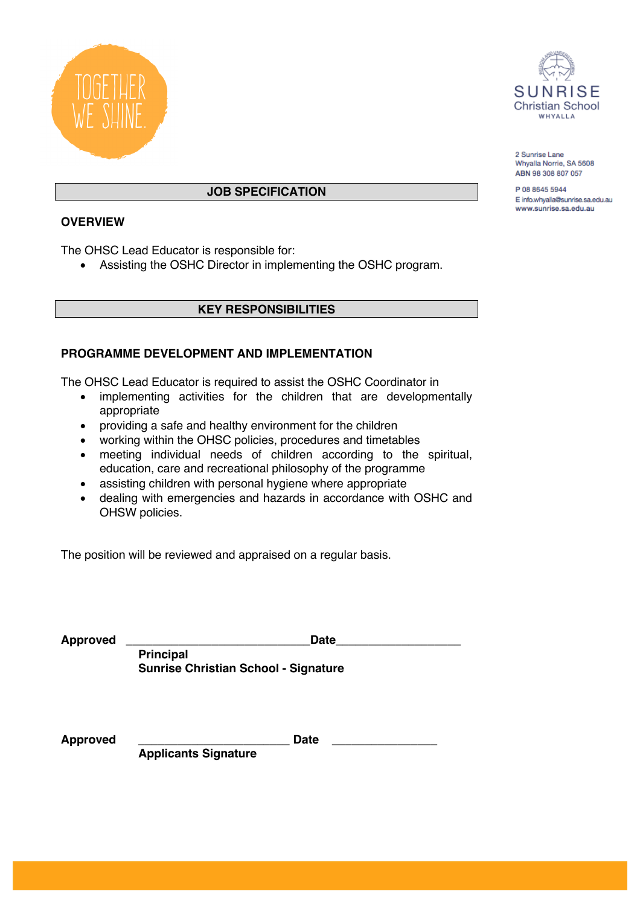



2 Sunrise Lane Whyalla Norrie, SA 5608 ABN 98 308 807 057

P 08 8645 5944 E info.whyalla@sunrise.sa.edu.au www.sunrise.sa.edu.au

## **JOB SPECIFICATION**

## **OVERVIEW**

The OHSC Lead Educator is responsible for:

• Assisting the OSHC Director in implementing the OSHC program.

#### **KEY RESPONSIBILITIES**

## **PROGRAMME DEVELOPMENT AND IMPLEMENTATION**

The OHSC Lead Educator is required to assist the OSHC Coordinator in

- implementing activities for the children that are developmentally appropriate
- providing a safe and healthy environment for the children
- working within the OHSC policies, procedures and timetables
- meeting individual needs of children according to the spiritual, education, care and recreational philosophy of the programme
- assisting children with personal hygiene where appropriate
- dealing with emergencies and hazards in accordance with OSHC and OHSW policies.

The position will be reviewed and appraised on a regular basis.

| <b>Approved</b> | <b>Date</b>                                 |
|-----------------|---------------------------------------------|
|                 | <b>Principal</b>                            |
|                 | <b>Sunrise Christian School - Signature</b> |
|                 |                                             |
|                 |                                             |
| <b>Approved</b> | <b>Date</b>                                 |

**Applicants Signature**